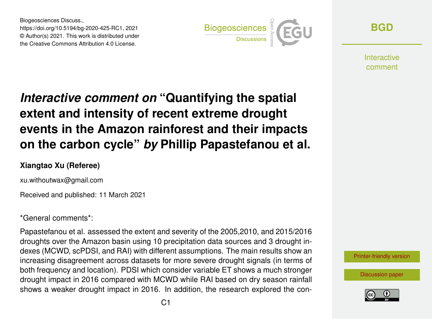Biogeosciences Discuss., https://doi.org/10.5194/bg-2020-425-RC1, 2021 © Author(s) 2021. This work is distributed under the Creative Commons Attribution 4.0 License.



**[BGD](https://bg.copernicus.org/preprints/)**

**Interactive** comment

## *Interactive comment on* **"Quantifying the spatial extent and intensity of recent extreme drought events in the Amazon rainforest and their impacts on the carbon cycle"** *by* **Phillip Papastefanou et al.**

## **Xiangtao Xu (Referee)**

xu.withoutwax@gmail.com

Received and published: 11 March 2021

\*General comments\*:

Papastefanou et al. assessed the extent and severity of the 2005,2010, and 2015/2016 droughts over the Amazon basin using 10 precipitation data sources and 3 drought indexes (MCWD, scPDSI, and RAI) with different assumptions. The main results show an increasing disagreement across datasets for more severe drought signals (in terms of both frequency and location). PDSI which consider variable ET shows a much stronger drought impact in 2016 compared with MCWD while RAI based on dry season rainfall shows a weaker drought impact in 2016. In addition, the research explored the con-



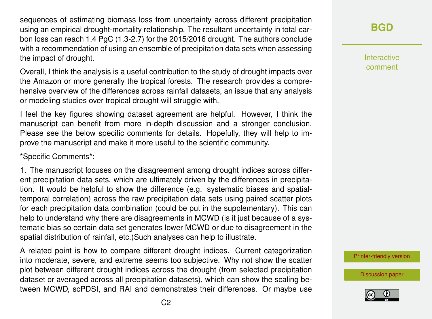sequences of estimating biomass loss from uncertainty across different precipitation using an empirical drought-mortality relationship. The resultant uncertainty in total carbon loss can reach 1.4 PgC (1.3-2.7) for the 2015/2016 drought. The authors conclude with a recommendation of using an ensemble of precipitation data sets when assessing the impact of drought.

Overall, I think the analysis is a useful contribution to the study of drought impacts over the Amazon or more generally the tropical forests. The research provides a comprehensive overview of the differences across rainfall datasets, an issue that any analysis or modeling studies over tropical drought will struggle with.

I feel the key figures showing dataset agreement are helpful. However, I think the manuscript can benefit from more in-depth discussion and a stronger conclusion. Please see the below specific comments for details. Hopefully, they will help to improve the manuscript and make it more useful to the scientific community.

\*Specific Comments\*:

1. The manuscript focuses on the disagreement among drought indices across different precipitation data sets, which are ultimately driven by the differences in precipitation. It would be helpful to show the difference (e.g. systematic biases and spatialtemporal correlation) across the raw precipitation data sets using paired scatter plots for each precipitation data combination (could be put in the supplementary). This can help to understand why there are disagreements in MCWD (is it just because of a systematic bias so certain data set generates lower MCWD or due to disagreement in the spatial distribution of rainfall, etc.)Such analyses can help to illustrate.

A related point is how to compare different drought indices. Current categorization into moderate, severe, and extreme seems too subjective. Why not show the scatter plot between different drought indices across the drought (from selected precipitation dataset or averaged across all precipitation datasets), which can show the scaling between MCWD, scPDSI, and RAI and demonstrates their differences. Or maybe use **[BGD](https://bg.copernicus.org/preprints/)**

Interactive comment

[Printer-friendly version](https://bg.copernicus.org/preprints/bg-2020-425/bg-2020-425-RC1-print.pdf)

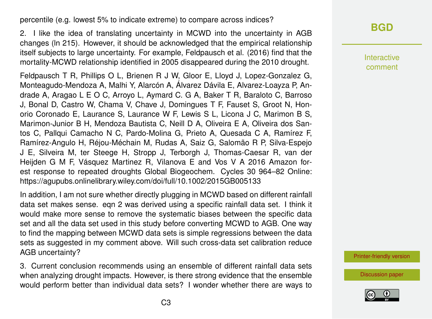percentile (e.g. lowest 5% to indicate extreme) to compare across indices?

2. I like the idea of translating uncertainty in MCWD into the uncertainty in AGB changes (ln 215). However, it should be acknowledged that the empirical relationship itself subjects to large uncertainty. For example, Feldpausch et al. (2016) find that the mortality-MCWD relationship identified in 2005 disappeared during the 2010 drought.

Feldpausch T R, Phillips O L, Brienen R J W, Gloor E, Lloyd J, Lopez-Gonzalez G, Monteagudo-Mendoza A, Malhi Y, Alarcón A, Álvarez Dávila E, Alvarez-Loayza P, Andrade A, Aragao L E O C, Arroyo L, Aymard C. G A, Baker T R, Baraloto C, Barroso J, Bonal D, Castro W, Chama V, Chave J, Domingues T F, Fauset S, Groot N, Honorio Coronado E, Laurance S, Laurance W F, Lewis S L, Licona J C, Marimon B S, Marimon-Junior B H, Mendoza Bautista C, Neill D A, Oliveira E A, Oliveira dos Santos C, Pallqui Camacho N C, Pardo-Molina G, Prieto A, Quesada C A, Ramírez F, Ramírez-Angulo H, Réjou-Méchain M, Rudas A, Saiz G, Salomão R P, Silva-Espejo J E, Silveira M, ter Steege H, Stropp J, Terborgh J, Thomas-Caesar R, van der Heijden G M F, Vásquez Martinez R, Vilanova E and Vos V A 2016 Amazon forest response to repeated droughts Global Biogeochem. Cycles 30 964–82 Online: https://agupubs.onlinelibrary.wiley.com/doi/full/10.1002/2015GB005133

In addition, I am not sure whether directly plugging in MCWD based on different rainfall data set makes sense. eqn 2 was derived using a specific rainfall data set. I think it would make more sense to remove the systematic biases between the specific data set and all the data set used in this study before converting MCWD to AGB. One way to find the mapping between MCWD data sets is simple regressions between the data sets as suggested in my comment above. Will such cross-data set calibration reduce AGB uncertainty?

3. Current conclusion recommends using an ensemble of different rainfall data sets when analyzing drought impacts. However, is there strong evidence that the ensemble would perform better than individual data sets? I wonder whether there are ways to Interactive comment

[Printer-friendly version](https://bg.copernicus.org/preprints/bg-2020-425/bg-2020-425-RC1-print.pdf)

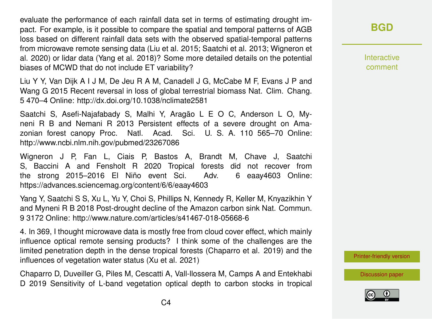evaluate the performance of each rainfall data set in terms of estimating drought impact. For example, is it possible to compare the spatial and temporal patterns of AGB loss based on different rainfall data sets with the observed spatial-temporal patterns from microwave remote sensing data (Liu et al. 2015; Saatchi et al. 2013; Wigneron et al. 2020) or lidar data (Yang et al. 2018)? Some more detailed details on the potential biases of MCWD that do not include ET variability?

Liu Y Y, Van Dijk A I J M, De Jeu R A M, Canadell J G, McCabe M F, Evans J P and Wang G 2015 Recent reversal in loss of global terrestrial biomass Nat. Clim. Chang. 5 470–4 Online: http://dx.doi.org/10.1038/nclimate2581

Saatchi S, Asefi-Najafabady S, Malhi Y, Aragão L E O C, Anderson L O, Myneni R B and Nemani R 2013 Persistent effects of a severe drought on Amazonian forest canopy Proc. Natl. Acad. Sci. U. S. A. 110 565–70 Online: http://www.ncbi.nlm.nih.gov/pubmed/23267086

Wigneron J P, Fan L, Ciais P, Bastos A, Brandt M, Chave J, Saatchi S, Baccini A and Fensholt R 2020 Tropical forests did not recover from the strong 2015–2016 El Niño event Sci. Adv. 6 eaay4603 Online: https://advances.sciencemag.org/content/6/6/eaay4603

Yang Y, Saatchi S S, Xu L, Yu Y, Choi S, Phillips N, Kennedy R, Keller M, Knyazikhin Y and Myneni R B 2018 Post-drought decline of the Amazon carbon sink Nat. Commun. 9 3172 Online: http://www.nature.com/articles/s41467-018-05668-6

4. ln 369, I thought microwave data is mostly free from cloud cover effect, which mainly influence optical remote sensing products? I think some of the challenges are the limited penetration depth in the dense tropical forests (Chaparro et al. 2019) and the influences of vegetation water status (Xu et al. 2021)

Chaparro D, Duveiller G, Piles M, Cescatti A, Vall-llossera M, Camps A and Entekhabi D 2019 Sensitivity of L-band vegetation optical depth to carbon stocks in tropical

## **[BGD](https://bg.copernicus.org/preprints/)**

Interactive comment

[Printer-friendly version](https://bg.copernicus.org/preprints/bg-2020-425/bg-2020-425-RC1-print.pdf)